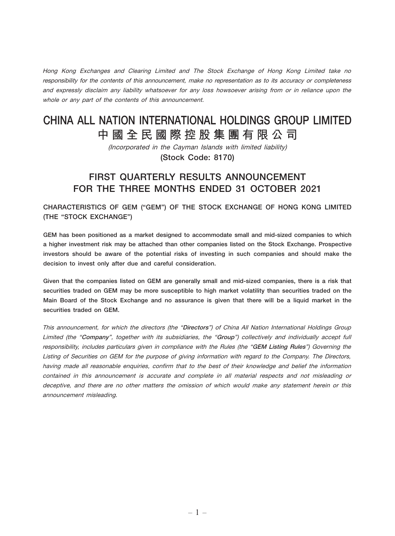Hong Kong Exchanges and Clearing Limited and The Stock Exchange of Hong Kong Limited take no responsibility for the contents of this announcement, make no representation as to its accuracy or completeness and expressly disclaim any liability whatsoever for any loss howsoever arising from or in reliance upon the whole or any part of the contents of this announcement.

# CHINA ALL NATION INTERNATIONAL HOLDINGS GROUP LIMITED **中國全民國際控股集團有限公司**

(Incorporated in the Cayman Islands with limited liability) (Stock Code: 8170)

# FIRST QUARTERLY RESULTS ANNOUNCEMENT FOR THE THREE MONTHS ENDED 31 OCTOBER 2021

CHARACTERISTICS OF GEM ("GEM") OF THE STOCK EXCHANGE OF HONG KONG LIMITED (THE "STOCK EXCHANGE")

GEM has been positioned as a market designed to accommodate small and mid-sized companies to which a higher investment risk may be attached than other companies listed on the Stock Exchange. Prospective investors should be aware of the potential risks of investing in such companies and should make the decision to invest only after due and careful consideration.

Given that the companies listed on GEM are generally small and mid-sized companies, there is a risk that securities traded on GEM may be more susceptible to high market volatility than securities traded on the Main Board of the Stock Exchange and no assurance is given that there will be a liquid market in the securities traded on GEM.

This announcement, for which the directors (the "Directors") of China All Nation International Holdings Group Limited (the "Company", together with its subsidiaries, the "Group") collectively and individually accept full responsibility, includes particulars given in compliance with the Rules (the "GEM Listing Rules") Governing the Listing of Securities on GEM for the purpose of giving information with regard to the Company. The Directors, having made all reasonable enquiries, confirm that to the best of their knowledge and belief the information contained in this announcement is accurate and complete in all material respects and not misleading or deceptive, and there are no other matters the omission of which would make any statement herein or this announcement misleading.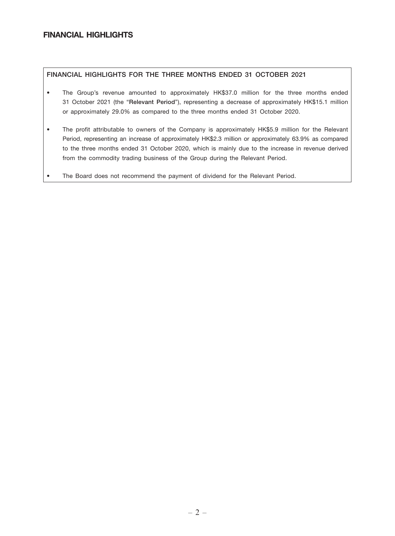# FINANCIAL HIGHLIGHTS

### FINANCIAL HIGHLIGHTS FOR THE THREE MONTHS ENDED 31 OCTOBER 2021

- The Group's revenue amounted to approximately HK\$37.0 million for the three months ended 31 October 2021 (the "Relevant Period"), representing a decrease of approximately HK\$15.1 million or approximately 29.0% as compared to the three months ended 31 October 2020.
- The profit attributable to owners of the Company is approximately HK\$5.9 million for the Relevant Period, representing an increase of approximately HK\$2.3 million or approximately 63.9% as compared to the three months ended 31 October 2020, which is mainly due to the increase in revenue derived from the commodity trading business of the Group during the Relevant Period.
- The Board does not recommend the payment of dividend for the Relevant Period.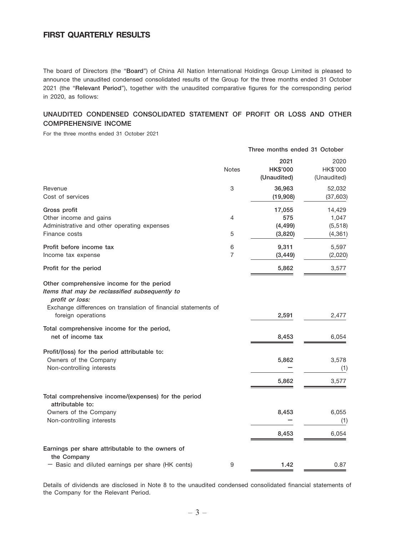# FIRST QUARTERLY RESULTS

The board of Directors (the "Board") of China All Nation International Holdings Group Limited is pleased to announce the unaudited condensed consolidated results of the Group for the three months ended 31 October 2021 (the "Relevant Period"), together with the unaudited comparative figures for the corresponding period in 2020, as follows:

# UNAUDITED CONDENSED CONSOLIDATED STATEMENT OF PROFIT OR LOSS AND OTHER COMPREHENSIVE INCOME

For the three months ended 31 October 2021

|                                                                                                                                                                                                        |                     | Three months ended 31 October          |                                         |
|--------------------------------------------------------------------------------------------------------------------------------------------------------------------------------------------------------|---------------------|----------------------------------------|-----------------------------------------|
|                                                                                                                                                                                                        | <b>Notes</b>        | 2021<br><b>HK\$'000</b><br>(Unaudited) | 2020<br>HK\$'000<br>(Unaudited)         |
| Revenue<br>Cost of services                                                                                                                                                                            | 3                   | 36,963<br>(19,908)                     | 52,032<br>(37, 603)                     |
| Gross profit<br>Other income and gains<br>Administrative and other operating expenses<br>Finance costs                                                                                                 | 4<br>5              | 17,055<br>575<br>(4, 499)<br>(3,820)   | 14,429<br>1,047<br>(5, 518)<br>(4, 361) |
| Profit before income tax<br>Income tax expense                                                                                                                                                         | 6<br>$\overline{7}$ | 9,311<br>(3, 449)                      | 5,597<br>(2,020)                        |
| Profit for the period                                                                                                                                                                                  |                     | 5,862                                  | 3,577                                   |
| Other comprehensive income for the period<br>Items that may be reclassified subsequently to<br>profit or loss:<br>Exchange differences on translation of financial statements of<br>foreign operations |                     | 2,591                                  | 2,477                                   |
| Total comprehensive income for the period,<br>net of income tax                                                                                                                                        |                     | 8,453                                  | 6,054                                   |
| Profit/(loss) for the period attributable to:<br>Owners of the Company<br>Non-controlling interests                                                                                                    |                     | 5,862<br>5,862                         | 3,578<br>(1)<br>3,577                   |
| Total comprehensive income/(expenses) for the period<br>attributable to:                                                                                                                               |                     |                                        |                                         |
| Owners of the Company<br>Non-controlling interests                                                                                                                                                     |                     | 8,453                                  | 6,055<br>(1)                            |
|                                                                                                                                                                                                        |                     | 8,453                                  | 6,054                                   |
| Earnings per share attributable to the owners of<br>the Company                                                                                                                                        |                     |                                        |                                         |
| - Basic and diluted earnings per share (HK cents)                                                                                                                                                      | 9                   | 1.42                                   | 0.87                                    |

Details of dividends are disclosed in Note 8 to the unaudited condensed consolidated financial statements of the Company for the Relevant Period.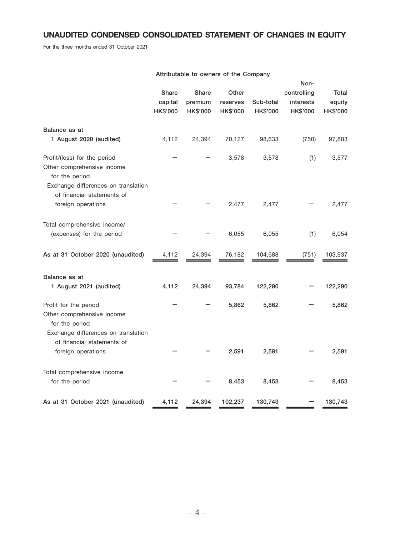# UNAUDITED CONDENSED CONSOLIDATED STATEMENT OF CHANGES IN EQUITY

For the three months ended 31 October 2021

|                                                                                                                     | Attributable to owners of the Company |                                            |                                      |                              |                                                     |                             |
|---------------------------------------------------------------------------------------------------------------------|---------------------------------------|--------------------------------------------|--------------------------------------|------------------------------|-----------------------------------------------------|-----------------------------|
|                                                                                                                     | <b>Share</b><br>capital<br>HK\$'000   | <b>Share</b><br>premium<br><b>HK\$'000</b> | Other<br>reserves<br><b>HK\$'000</b> | Sub-total<br><b>HK\$'000</b> | Non-<br>controlling<br>interests<br><b>HK\$'000</b> | Total<br>equity<br>HK\$'000 |
| Balance as at                                                                                                       |                                       |                                            |                                      |                              |                                                     |                             |
| 1 August 2020 (audited)                                                                                             | 4,112                                 | 24,394                                     | 70,127                               | 98,633                       | (750)                                               | 97,883                      |
| Profit/(loss) for the period<br>Other comprehensive income<br>for the period<br>Exchange differences on translation |                                       |                                            | 3,578                                | 3,578                        | (1)                                                 | 3,577                       |
| of financial statements of<br>foreign operations                                                                    |                                       |                                            | 2,477                                | 2,477                        |                                                     | 2,477                       |
| Total comprehensive income/<br>(expenses) for the period                                                            |                                       |                                            | 6,055                                | 6,055                        | (1)                                                 | 6,054                       |
| As at 31 October 2020 (unaudited)                                                                                   | 4,112                                 | 24,394                                     | 76,182                               | 104,688                      | (751)                                               | 103,937                     |
| Balance as at<br>1 August 2021 (audited)                                                                            | 4,112                                 | 24,394                                     | 93,784                               | 122,290                      |                                                     | 122,290                     |
| Profit for the period<br>Other comprehensive income<br>for the period<br>Exchange differences on translation        |                                       |                                            | 5,862                                | 5,862                        |                                                     | 5,862                       |
| of financial statements of<br>foreign operations                                                                    |                                       |                                            | 2,591                                | 2,591                        |                                                     | 2,591                       |
| Total comprehensive income<br>for the period                                                                        |                                       |                                            | 8,453                                | 8,453                        |                                                     | 8,453                       |
| As at 31 October 2021 (unaudited)                                                                                   | 4,112                                 | 24,394                                     | 102,237                              | 130,743                      |                                                     | 130,743                     |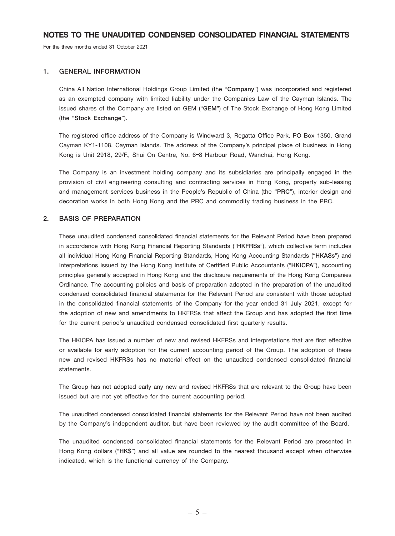For the three months ended 31 October 2021

#### 1. GENERAL INFORMATION

China All Nation International Holdings Group Limited (the "Company") was incorporated and registered as an exempted company with limited liability under the Companies Law of the Cayman Islands. The issued shares of the Company are listed on GEM ("GEM") of The Stock Exchange of Hong Kong Limited (the "Stock Exchange").

The registered office address of the Company is Windward 3, Regatta Office Park, PO Box 1350, Grand Cayman KY1-1108, Cayman Islands. The address of the Company's principal place of business in Hong Kong is Unit 2918, 29/F., Shui On Centre, No. 6–8 Harbour Road, Wanchai, Hong Kong.

The Company is an investment holding company and its subsidiaries are principally engaged in the provision of civil engineering consulting and contracting services in Hong Kong, property sub-leasing and management services business in the People's Republic of China (the "PRC"), interior design and decoration works in both Hong Kong and the PRC and commodity trading business in the PRC.

### 2. BASIS OF PREPARATION

These unaudited condensed consolidated financial statements for the Relevant Period have been prepared in accordance with Hong Kong Financial Reporting Standards ("HKFRSs"), which collective term includes all individual Hong Kong Financial Reporting Standards, Hong Kong Accounting Standards ("HKASs") and Interpretations issued by the Hong Kong Institute of Certified Public Accountants ("HKICPA"), accounting principles generally accepted in Hong Kong and the disclosure requirements of the Hong Kong Companies Ordinance. The accounting policies and basis of preparation adopted in the preparation of the unaudited condensed consolidated financial statements for the Relevant Period are consistent with those adopted in the consolidated financial statements of the Company for the year ended 31 July 2021, except for the adoption of new and amendments to HKFRSs that affect the Group and has adopted the first time for the current period's unaudited condensed consolidated first quarterly results.

The HKICPA has issued a number of new and revised HKFRSs and interpretations that are first effective or available for early adoption for the current accounting period of the Group. The adoption of these new and revised HKFRSs has no material effect on the unaudited condensed consolidated financial statements.

The Group has not adopted early any new and revised HKFRSs that are relevant to the Group have been issued but are not yet effective for the current accounting period.

The unaudited condensed consolidated financial statements for the Relevant Period have not been audited by the Company's independent auditor, but have been reviewed by the audit committee of the Board.

The unaudited condensed consolidated financial statements for the Relevant Period are presented in Hong Kong dollars ("HK\$") and all value are rounded to the nearest thousand except when otherwise indicated, which is the functional currency of the Company.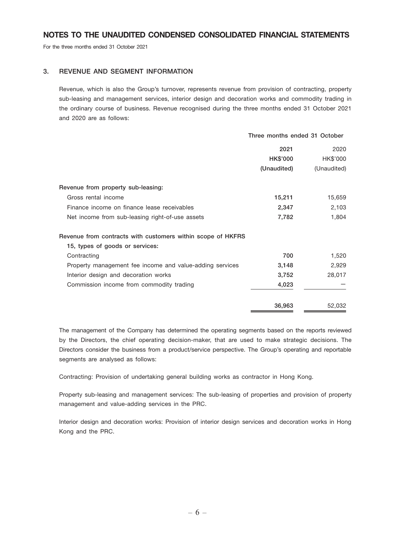For the three months ended 31 October 2021

### 3. REVENUE AND SEGMENT INFORMATION

Revenue, which is also the Group's turnover, represents revenue from provision of contracting, property sub-leasing and management services, interior design and decoration works and commodity trading in the ordinary course of business. Revenue recognised during the three months ended 31 October 2021 and 2020 are as follows:

|                                                             | Three months ended 31 October |             |
|-------------------------------------------------------------|-------------------------------|-------------|
|                                                             | 2021                          | 2020        |
|                                                             | <b>HK\$'000</b>               | HK\$'000    |
|                                                             | (Unaudited)                   | (Unaudited) |
| Revenue from property sub-leasing:                          |                               |             |
| Gross rental income                                         | 15,211                        | 15,659      |
| Finance income on finance lease receivables                 | 2,347                         | 2,103       |
| Net income from sub-leasing right-of-use assets             | 7,782                         | 1,804       |
| Revenue from contracts with customers within scope of HKFRS |                               |             |
| 15, types of goods or services:                             |                               |             |
| Contracting                                                 | 700                           | 1,520       |
| Property management fee income and value-adding services    | 3,148                         | 2,929       |
| Interior design and decoration works                        | 3,752                         | 28,017      |
| Commission income from commodity trading                    | 4,023                         |             |
|                                                             | 36,963                        | 52,032      |

The management of the Company has determined the operating segments based on the reports reviewed by the Directors, the chief operating decision-maker, that are used to make strategic decisions. The Directors consider the business from a product/service perspective. The Group's operating and reportable segments are analysed as follows:

Contracting: Provision of undertaking general building works as contractor in Hong Kong.

Property sub-leasing and management services: The sub-leasing of properties and provision of property management and value-adding services in the PRC.

Interior design and decoration works: Provision of interior design services and decoration works in Hong Kong and the PRC.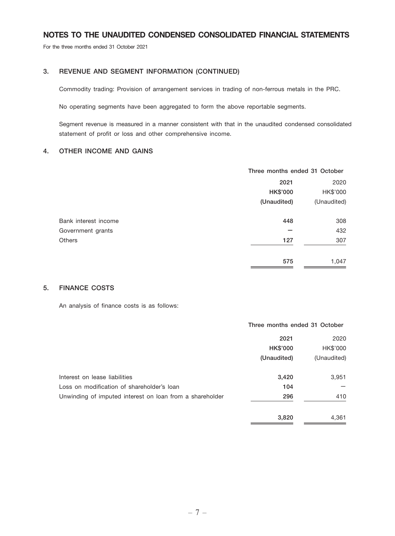For the three months ended 31 October 2021

### 3. REVENUE AND SEGMENT INFORMATION (CONTINUED)

Commodity trading: Provision of arrangement services in trading of non-ferrous metals in the PRC.

No operating segments have been aggregated to form the above reportable segments.

Segment revenue is measured in a manner consistent with that in the unaudited condensed consolidated statement of profit or loss and other comprehensive income.

### 4. OTHER INCOME AND GAINS

|                      |                 | Three months ended 31 October |  |
|----------------------|-----------------|-------------------------------|--|
|                      | 2021            | 2020                          |  |
|                      | <b>HK\$'000</b> | HK\$'000                      |  |
|                      | (Unaudited)     | (Unaudited)                   |  |
| Bank interest income | 448             | 308                           |  |
| Government grants    |                 | 432                           |  |
| <b>Others</b>        | 127             | 307                           |  |
|                      | 575             | 1,047                         |  |

### 5. FINANCE COSTS

An analysis of finance costs is as follows:

|                                                          | Three months ended 31 October |             |
|----------------------------------------------------------|-------------------------------|-------------|
|                                                          | 2021                          | 2020        |
|                                                          | <b>HK\$'000</b>               | HK\$'000    |
|                                                          | (Unaudited)                   | (Unaudited) |
| Interest on lease liabilities                            | 3,420                         | 3,951       |
| Loss on modification of shareholder's loan               | 104                           |             |
| Unwinding of imputed interest on loan from a shareholder | 296                           | 410         |
|                                                          | 3.820                         | 4.361       |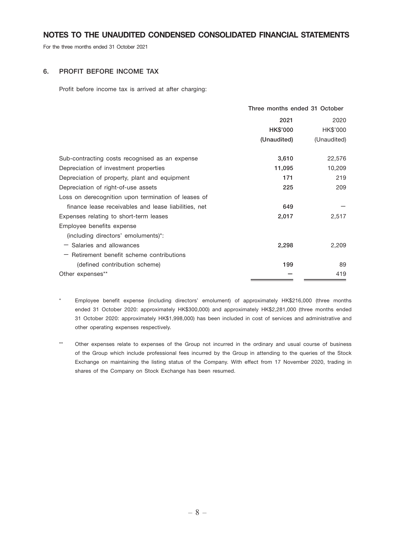For the three months ended 31 October 2021

### 6. PROFIT BEFORE INCOME TAX

Profit before income tax is arrived at after charging:

|                                                      | Three months ended 31 October |             |  |
|------------------------------------------------------|-------------------------------|-------------|--|
|                                                      | 2021                          |             |  |
|                                                      | <b>HK\$'000</b>               | HK\$'000    |  |
|                                                      | (Unaudited)                   | (Unaudited) |  |
| Sub-contracting costs recognised as an expense       | 3,610                         | 22,576      |  |
| Depreciation of investment properties                | 11,095                        | 10,209      |  |
| Depreciation of property, plant and equipment        | 171                           | 219         |  |
| Depreciation of right-of-use assets                  | 225                           | 209         |  |
| Loss on derecognition upon termination of leases of  |                               |             |  |
| finance lease receivables and lease liabilities, net | 649                           |             |  |
| Expenses relating to short-term leases               | 2,017                         | 2,517       |  |
| Employee benefits expense                            |                               |             |  |
| (including directors' emoluments)*:                  |                               |             |  |
| - Salaries and allowances                            | 2,298                         | 2,209       |  |
| $-$ Retirement benefit scheme contributions          |                               |             |  |
| (defined contribution scheme)                        | 199                           | 89          |  |
| Other expenses**                                     |                               | 419         |  |
|                                                      |                               |             |  |

\* Employee benefit expense (including directors' emolument) of approximately HK\$216,000 (three months ended 31 October 2020: approximately HK\$300,000) and approximately HK\$2,281,000 (three months ended 31 October 2020: approximately HK\$1,998,000) has been included in cost of services and administrative and other operating expenses respectively.

\*\* Other expenses relate to expenses of the Group not incurred in the ordinary and usual course of business of the Group which include professional fees incurred by the Group in attending to the queries of the Stock Exchange on maintaining the listing status of the Company. With effect from 17 November 2020, trading in shares of the Company on Stock Exchange has been resumed.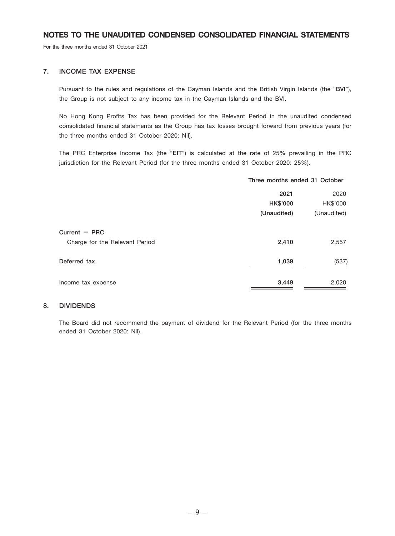For the three months ended 31 October 2021

### 7. INCOME TAX EXPENSE

Pursuant to the rules and regulations of the Cayman Islands and the British Virgin Islands (the "BVI"), the Group is not subject to any income tax in the Cayman Islands and the BVI.

No Hong Kong Profits Tax has been provided for the Relevant Period in the unaudited condensed consolidated financial statements as the Group has tax losses brought forward from previous years (for the three months ended 31 October 2020: Nil).

The PRC Enterprise Income Tax (the "EIT") is calculated at the rate of 25% prevailing in the PRC jurisdiction for the Relevant Period (for the three months ended 31 October 2020: 25%).

|                                | Three months ended 31 October |             |
|--------------------------------|-------------------------------|-------------|
|                                | 2020<br>2021                  |             |
|                                | <b>HK\$'000</b>               | HK\$'000    |
|                                | (Unaudited)                   | (Unaudited) |
| Current $-$ PRC                |                               |             |
| Charge for the Relevant Period | 2,410                         | 2,557       |
| Deferred tax                   | 1,039                         | (537)       |
| Income tax expense             | 3,449                         | 2,020       |

#### 8. DIVIDENDS

The Board did not recommend the payment of dividend for the Relevant Period (for the three months ended 31 October 2020: Nil).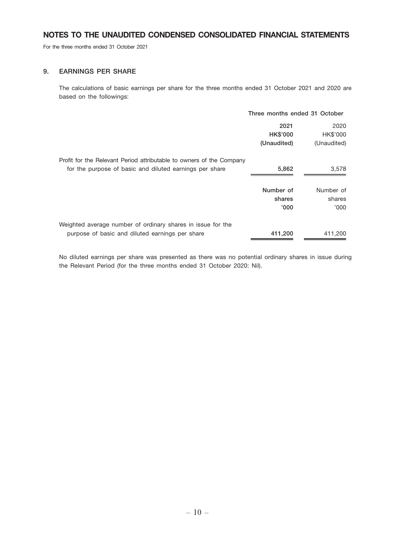For the three months ended 31 October 2021

### 9. EARNINGS PER SHARE

The calculations of basic earnings per share for the three months ended 31 October 2021 and 2020 are based on the followings:

|                                                                      | Three months ended 31 October |             |
|----------------------------------------------------------------------|-------------------------------|-------------|
|                                                                      | 2021                          | 2020        |
|                                                                      | <b>HK\$'000</b>               | HK\$'000    |
|                                                                      | (Unaudited)                   | (Unaudited) |
| Profit for the Relevant Period attributable to owners of the Company |                               |             |
| for the purpose of basic and diluted earnings per share              | 5,862                         | 3,578       |
|                                                                      |                               |             |
|                                                                      | Number of                     | Number of   |
|                                                                      | shares                        | shares      |
|                                                                      | '000'                         | '000'       |
| Weighted average number of ordinary shares in issue for the          |                               |             |
| purpose of basic and diluted earnings per share                      | 411,200                       | 411,200     |

No diluted earnings per share was presented as there was no potential ordinary shares in issue during the Relevant Period (for the three months ended 31 October 2020: Nil).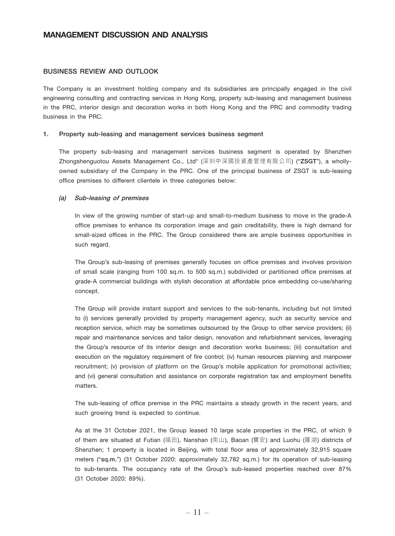### BUSINESS REVIEW AND OUTLOOK

The Company is an investment holding company and its subsidiaries are principally engaged in the civil engineering consulting and contracting services in Hong Kong, property sub-leasing and management business in the PRC, interior design and decoration works in both Hong Kong and the PRC and commodity trading business in the PRC.

#### 1. Property sub-leasing and management services business segment

The property sub-leasing and management services business segment is operated by Shenzhen Zhongshenguotou Assets Management Co., Ltd\* (深圳中深國投資產管理有限公司) ("ZSGT"), a whollyowned subsidiary of the Company in the PRC. One of the principal business of ZSGT is sub-leasing office premises to different clientele in three categories below:

#### (a) Sub-leasing of premises

In view of the growing number of start-up and small-to-medium business to move in the grade-A office premises to enhance its corporation image and gain creditability, there is high demand for small-sized offices in the PRC. The Group considered there are ample business opportunities in such regard.

The Group's sub-leasing of premises generally focuses on office premises and involves provision of small scale (ranging from 100 sq.m. to 500 sq.m.) subdivided or partitioned office premises at grade-A commercial buildings with stylish decoration at affordable price embedding co-use/sharing concept.

The Group will provide instant support and services to the sub-tenants, including but not limited to (i) services generally provided by property management agency, such as security service and reception service, which may be sometimes outsourced by the Group to other service providers; (ii) repair and maintenance services and tailor design, renovation and refurbishment services, leveraging the Group's resource of its interior design and decoration works business; (iii) consultation and execution on the regulatory requirement of fire control; (iv) human resources planning and manpower recruitment; (v) provision of platform on the Group's mobile application for promotional activities; and (vi) general consultation and assistance on corporate registration tax and employment benefits matters.

The sub-leasing of office premise in the PRC maintains a steady growth in the recent years, and such growing trend is expected to continue.

As at the 31 October 2021, the Group leased 10 large scale properties in the PRC, of which 9 of them are situated at Futian (福田), Nanshan (南山), Baoan (寶安) and Luohu (羅湖) districts of Shenzhen; 1 property is located in Beijing, with total floor area of approximately 32,915 square meters ("sq.m.") (31 October 2020: approximately 32,782 sq.m.) for its operation of sub-leasing to sub-tenants. The occupancy rate of the Group's sub-leased properties reached over 87% (31 October 2020: 89%).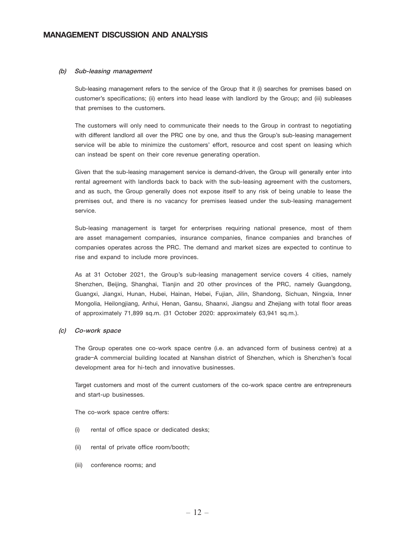#### (b) Sub-leasing management

Sub-leasing management refers to the service of the Group that it (i) searches for premises based on customer's specifications; (ii) enters into head lease with landlord by the Group; and (iii) subleases that premises to the customers.

The customers will only need to communicate their needs to the Group in contrast to negotiating with different landlord all over the PRC one by one, and thus the Group's sub-leasing management service will be able to minimize the customers' effort, resource and cost spent on leasing which can instead be spent on their core revenue generating operation.

Given that the sub-leasing management service is demand-driven, the Group will generally enter into rental agreement with landlords back to back with the sub-leasing agreement with the customers, and as such, the Group generally does not expose itself to any risk of being unable to lease the premises out, and there is no vacancy for premises leased under the sub-leasing management service.

Sub-leasing management is target for enterprises requiring national presence, most of them are asset management companies, insurance companies, finance companies and branches of companies operates across the PRC. The demand and market sizes are expected to continue to rise and expand to include more provinces.

As at 31 October 2021, the Group's sub-leasing management service covers 4 cities, namely Shenzhen, Beijing, Shanghai, Tianjin and 20 other provinces of the PRC, namely Guangdong, Guangxi, Jiangxi, Hunan, Hubei, Hainan, Hebei, Fujian, Jilin, Shandong, Sichuan, Ningxia, Inner Mongolia, Heilongjiang, Anhui, Henan, Gansu, Shaanxi, Jiangsu and Zhejiang with total floor areas of approximately 71,899 sq.m. (31 October 2020: approximately 63,941 sq.m.).

#### (c) Co-work space

The Group operates one co-work space centre (i.e. an advanced form of business centre) at a grade–A commercial building located at Nanshan district of Shenzhen, which is Shenzhen's focal development area for hi-tech and innovative businesses.

Target customers and most of the current customers of the co-work space centre are entrepreneurs and start-up businesses.

The co-work space centre offers:

- (i) rental of office space or dedicated desks;
- (ii) rental of private office room/booth;
- (iii) conference rooms; and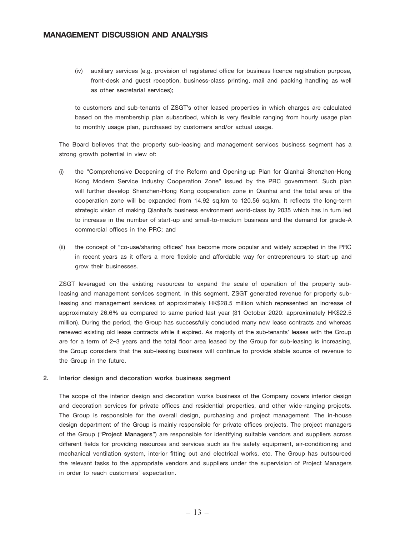(iv) auxiliary services (e.g. provision of registered office for business licence registration purpose, front-desk and guest reception, business-class printing, mail and packing handling as well as other secretarial services);

to customers and sub-tenants of ZSGT's other leased properties in which charges are calculated based on the membership plan subscribed, which is very flexible ranging from hourly usage plan to monthly usage plan, purchased by customers and/or actual usage.

The Board believes that the property sub-leasing and management services business segment has a strong growth potential in view of:

- (i) the "Comprehensive Deepening of the Reform and Opening-up Plan for Qianhai Shenzhen-Hong Kong Modern Service Industry Cooperation Zone" issued by the PRC government. Such plan will further develop Shenzhen-Hong Kong cooperation zone in Qianhai and the total area of the cooperation zone will be expanded from 14.92 sq.km to 120.56 sq.km. It reflects the long-term strategic vision of making Qianhai's business environment world-class by 2035 which has in turn led to increase in the number of start-up and small-to-medium business and the demand for grade-A commercial offices in the PRC; and
- (ii) the concept of "co-use/sharing offices" has become more popular and widely accepted in the PRC in recent years as it offers a more flexible and affordable way for entrepreneurs to start-up and grow their businesses.

ZSGT leveraged on the existing resources to expand the scale of operation of the property subleasing and management services segment. In this segment, ZSGT generated revenue for property subleasing and management services of approximately HK\$28.5 million which represented an increase of approximately 26.6% as compared to same period last year (31 October 2020: approximately HK\$22.5 million). During the period, the Group has successfully concluded many new lease contracts and whereas renewed existing old lease contracts while it expired. As majority of the sub-tenants' leases with the Group are for a term of 2–3 years and the total floor area leased by the Group for sub-leasing is increasing, the Group considers that the sub-leasing business will continue to provide stable source of revenue to the Group in the future.

#### 2. Interior design and decoration works business segment

The scope of the interior design and decoration works business of the Company covers interior design and decoration services for private offices and residential properties, and other wide-ranging projects. The Group is responsible for the overall design, purchasing and project management. The in-house design department of the Group is mainly responsible for private offices projects. The project managers of the Group ("Project Managers") are responsible for identifying suitable vendors and suppliers across different fields for providing resources and services such as fire safety equipment, air-conditioning and mechanical ventilation system, interior fitting out and electrical works, etc. The Group has outsourced the relevant tasks to the appropriate vendors and suppliers under the supervision of Project Managers in order to reach customers' expectation.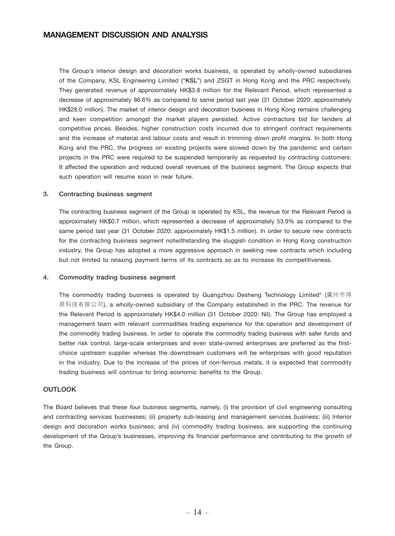The Group's interior design and decoration works business, is operated by wholly-owned subsidiaries of the Company, KSL Engineering Limited ("KSL") and ZSGT in Hong Kong and the PRC respectively. They generated revenue of approximately HK\$3.8 million for the Relevant Period, which represented a decrease of approximately 86.6% as compared to same period last year (31 October 2020: approximately HK\$28.0 million). The market of interior design and decoration business in Hong Kong remains challenging and keen competition amongst the market players persisted. Active contractors bid for tenders at competitive prices. Besides, higher construction costs incurred due to stringent contract requirements and the increase of material and labour costs and result in trimming down profit margins. In both Hong Kong and the PRC, the progress on existing projects were slowed down by the pandemic and certain projects in the PRC were required to be suspended temporarily as requested by contracting customers. It affected the operation and reduced overall revenues of the business segment. The Group expects that such operation will resume soon in near future.

#### 3. Contracting business segment

The contracting business segment of the Group is operated by KSL, the revenue for the Relevant Period is approximately HK\$0.7 million, which represented a decrease of approximately 53.9% as compared to the same period last year (31 October 2020: approximately HK\$1.5 million). In order to secure new contracts for the contracting business segment notwithstanding the sluggish condition in Hong Kong construction industry, the Group has adopted a more aggressive approach in seeking new contracts which including but not limited to relaxing payment terms of its contracts so as to increase its competitiveness.

#### 4. Commodity trading business segment

The commodity trading business is operated by Guangzhou Desheng Technology Limited\* (廣州市得 昇科技有限公司), a wholly-owned subsidiary of the Company established in the PRC. The revenue for the Relevant Period is approximately HK\$4.0 million (31 October 2020: Nil). The Group has employed a management team with relevant commodities trading experience for the operation and development of the commodity trading business. In order to operate the commodity trading business with safer funds and better risk control, large-scale enterprises and even state-owned enterprises are preferred as the firstchoice upstream supplier whereas the downstream customers will be enterprises with good reputation in the industry. Due to the increase of the prices of non-ferrous metals, it is expected that commodity trading business will continue to bring economic benefits to the Group.

### **OUTLOOK**

The Board believes that these four business segments, namely, (i) the provision of civil engineering consulting and contracting services businesses; (ii) property sub-leasing and management services business; (iii) Interior design and decoration works business; and (iv) commodity trading business, are supporting the continuing development of the Group's businesses, improving its financial performance and contributing to the growth of the Group.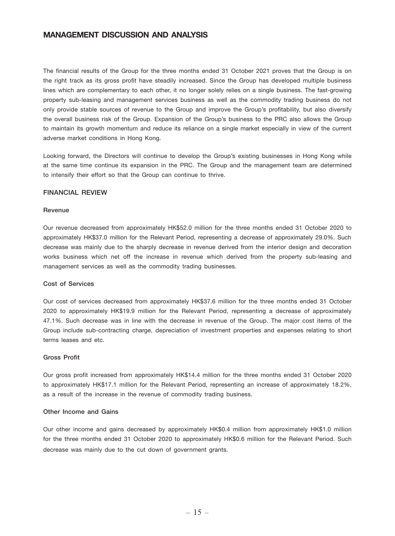The financial results of the Group for the three months ended 31 October 2021 proves that the Group is on the right track as its gross profit have steadily increased. Since the Group has developed multiple business lines which are complementary to each other, it no longer solely relies on a single business. The fast-growing property sub-leasing and management services business as well as the commodity trading business do not only provide stable sources of revenue to the Group and improve the Group's profitability, but also diversify the overall business risk of the Group. Expansion of the Group's business to the PRC also allows the Group to maintain its growth momentum and reduce its reliance on a single market especially in view of the current adverse market conditions in Hong Kong.

Looking forward, the Directors will continue to develop the Group's existing businesses in Hong Kong while at the same time continue its expansion in the PRC. The Group and the management team are determined to intensify their effort so that the Group can continue to thrive.

### FINANCIAL REVIEW

#### Revenue

Our revenue decreased from approximately HK\$52.0 million for the three months ended 31 October 2020 to approximately HK\$37.0 million for the Relevant Period, representing a decrease of approximately 29.0%. Such decrease was mainly due to the sharply decrease in revenue derived from the interior design and decoration works business which net off the increase in revenue which derived from the property sub-leasing and management services as well as the commodity trading businesses.

#### Cost of Services

Our cost of services decreased from approximately HK\$37.6 million for the three months ended 31 October 2020 to approximately HK\$19.9 million for the Relevant Period, representing a decrease of approximately 47.1%. Such decrease was in line with the decrease in revenue of the Group. The major cost items of the Group include sub-contracting charge, depreciation of investment properties and expenses relating to short terms leases and etc.

#### Gross Profit

Our gross profit increased from approximately HK\$14.4 million for the three months ended 31 October 2020 to approximately HK\$17.1 million for the Relevant Period, representing an increase of approximately 18.2%, as a result of the increase in the revenue of commodity trading business.

#### Other Income and Gains

Our other income and gains decreased by approximately HK\$0.4 million from approximately HK\$1.0 million for the three months ended 31 October 2020 to approximately HK\$0.6 million for the Relevant Period. Such decrease was mainly due to the cut down of government grants.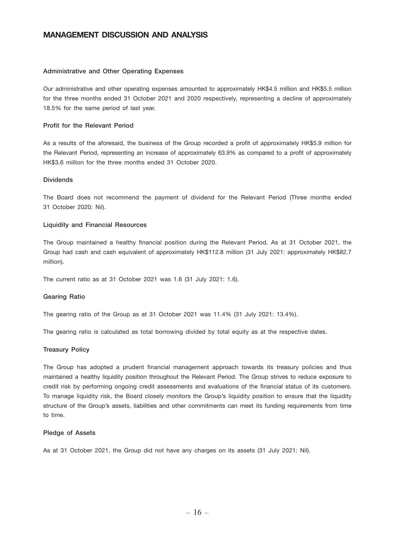#### Administrative and Other Operating Expenses

Our administrative and other operating expenses amounted to approximately HK\$4.5 million and HK\$5.5 million for the three months ended 31 October 2021 and 2020 respectively, representing a decline of approximately 18.5% for the same period of last year.

#### Profit for the Relevant Period

As a results of the aforesaid, the business of the Group recorded a profit of approximately HK\$5.9 million for the Relevant Period, representing an increase of approximately 63.9% as compared to a profit of approximately HK\$3.6 million for the three months ended 31 October 2020.

### Dividends

The Board does not recommend the payment of dividend for the Relevant Period (Three months ended 31 October 2020: Nil).

#### Liquidity and Financial Resources

The Group maintained a healthy financial position during the Relevant Period. As at 31 October 2021, the Group had cash and cash equivalent of approximately HK\$112.8 million (31 July 2021: approximately HK\$82.7 million).

The current ratio as at 31 October 2021 was 1.6 (31 July 2021: 1.6).

#### Gearing Ratio

The gearing ratio of the Group as at 31 October 2021 was 11.4% (31 July 2021: 13.4%).

The gearing ratio is calculated as total borrowing divided by total equity as at the respective dates.

#### Treasury Policy

The Group has adopted a prudent financial management approach towards its treasury policies and thus maintained a healthy liquidity position throughout the Relevant Period. The Group strives to reduce exposure to credit risk by performing ongoing credit assessments and evaluations of the financial status of its customers. To manage liquidity risk, the Board closely monitors the Group's liquidity position to ensure that the liquidity structure of the Group's assets, liabilities and other commitments can meet its funding requirements from time to time.

#### Pledge of Assets

As at 31 October 2021, the Group did not have any charges on its assets (31 July 2021: Nil).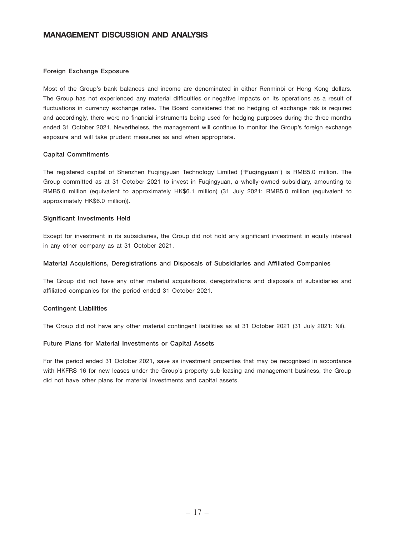#### Foreign Exchange Exposure

Most of the Group's bank balances and income are denominated in either Renminbi or Hong Kong dollars. The Group has not experienced any material difficulties or negative impacts on its operations as a result of fluctuations in currency exchange rates. The Board considered that no hedging of exchange risk is required and accordingly, there were no financial instruments being used for hedging purposes during the three months ended 31 October 2021. Nevertheless, the management will continue to monitor the Group's foreign exchange exposure and will take prudent measures as and when appropriate.

### Capital Commitments

The registered capital of Shenzhen Fuqingyuan Technology Limited ("Fuqingyuan") is RMB5.0 million. The Group committed as at 31 October 2021 to invest in Fuqingyuan, a wholly-owned subsidiary, amounting to RMB5.0 million (equivalent to approximately HK\$6.1 million) (31 July 2021: RMB5.0 million (equivalent to approximately HK\$6.0 million)).

#### Significant Investments Held

Except for investment in its subsidiaries, the Group did not hold any significant investment in equity interest in any other company as at 31 October 2021.

#### Material Acquisitions, Deregistrations and Disposals of Subsidiaries and Affiliated Companies

The Group did not have any other material acquisitions, deregistrations and disposals of subsidiaries and affiliated companies for the period ended 31 October 2021.

#### Contingent Liabilities

The Group did not have any other material contingent liabilities as at 31 October 2021 (31 July 2021: Nil).

#### Future Plans for Material Investments or Capital Assets

For the period ended 31 October 2021, save as investment properties that may be recognised in accordance with HKFRS 16 for new leases under the Group's property sub-leasing and management business, the Group did not have other plans for material investments and capital assets.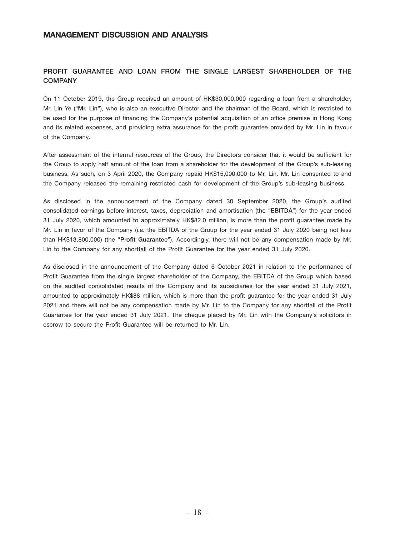### PROFIT GUARANTEE AND LOAN FROM THE SINGLE LARGEST SHAREHOLDER OF THE **COMPANY**

On 11 October 2019, the Group received an amount of HK\$30,000,000 regarding a loan from a shareholder, Mr. Lin Ye ("Mr. Lin"), who is also an executive Director and the chairman of the Board, which is restricted to be used for the purpose of financing the Company's potential acquisition of an office premise in Hong Kong and its related expenses, and providing extra assurance for the profit guarantee provided by Mr. Lin in favour of the Company.

After assessment of the internal resources of the Group, the Directors consider that it would be sufficient for the Group to apply half amount of the loan from a shareholder for the development of the Group's sub-leasing business. As such, on 3 April 2020, the Company repaid HK\$15,000,000 to Mr. Lin. Mr. Lin consented to and the Company released the remaining restricted cash for development of the Group's sub-leasing business.

As disclosed in the announcement of the Company dated 30 September 2020, the Group's audited consolidated earnings before interest, taxes, depreciation and amortisation (the "EBITDA") for the year ended 31 July 2020, which amounted to approximately HK\$82.0 million, is more than the profit guarantee made by Mr. Lin in favor of the Company (i.e. the EBITDA of the Group for the year ended 31 July 2020 being not less than HK\$13,800,000) (the "Profit Guarantee"). Accordingly, there will not be any compensation made by Mr. Lin to the Company for any shortfall of the Profit Guarantee for the year ended 31 July 2020.

As disclosed in the announcement of the Company dated 6 October 2021 in relation to the performance of Profit Guarantee from the single largest shareholder of the Company, the EBITDA of the Group which based on the audited consolidated results of the Company and its subsidiaries for the year ended 31 July 2021, amounted to approximately HK\$88 million, which is more than the profit guarantee for the year ended 31 July 2021 and there will not be any compensation made by Mr. Lin to the Company for any shortfall of the Profit Guarantee for the year ended 31 July 2021. The cheque placed by Mr. Lin with the Company's solicitors in escrow to secure the Profit Guarantee will be returned to Mr. Lin.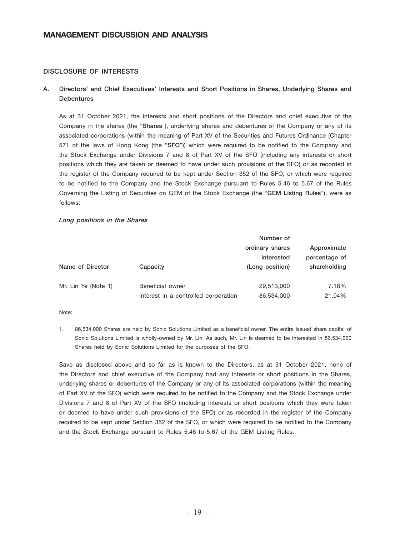### DISCLOSURE OF INTERESTS

### A. Directors' and Chief Executives' Interests and Short Positions in Shares, Underlying Shares and **Debentures**

As at 31 October 2021, the interests and short positions of the Directors and chief executive of the Company in the shares (the "Shares"), underlying shares and debentures of the Company or any of its associated corporations (within the meaning of Part XV of the Securities and Futures Ordinance (Chapter 571 of the laws of Hong Kong (the "SFO")) which were required to be notified to the Company and the Stock Exchange under Divisions 7 and 8 of Part XV of the SFO (including any interests or short positions which they are taken or deemed to have under such provisions of the SFO) or as recorded in the register of the Company required to be kept under Section 352 of the SFO, or which were required to be notified to the Company and the Stock Exchange pursuant to Rules 5.46 to 5.67 of the Rules Governing the Listing of Securities on GEM of the Stock Exchange (the "GEM Listing Rules"), were as follows:

#### Long positions in the Shares

|                     |                                      | Number of       |               |
|---------------------|--------------------------------------|-----------------|---------------|
|                     |                                      | ordinary shares | Approximate   |
|                     |                                      | interested      | percentage of |
| Name of Director    | Capacity                             | (Long position) | shareholding  |
| Mr. Lin Ye (Note 1) | Beneficial owner                     | 29,513,000      | 7.18%         |
|                     | Interest in a controlled corporation | 86,534,000      | 21.04%        |

Note:

1. 86,534,000 Shares are held by Sonic Solutions Limited as a beneficial owner. The entire issued share capital of Sonic Solutions Limited is wholly-owned by Mr. Lin. As such, Mr. Lin is deemed to be interested in 86,534,000 Shares held by Sonic Solutions Limited for the purposes of the SFO.

Save as disclosed above and so far as is known to the Directors, as at 31 October 2021, none of the Directors and chief executive of the Company had any interests or short positions in the Shares, underlying shares or debentures of the Company or any of its associated corporations (within the meaning of Part XV of the SFO) which were required to be notified to the Company and the Stock Exchange under Divisions 7 and 8 of Part XV of the SFO (including interests or short positions which they were taken or deemed to have under such provisions of the SFO) or as recorded in the register of the Company required to be kept under Section 352 of the SFO, or which were required to be notified to the Company and the Stock Exchange pursuant to Rules 5.46 to 5.67 of the GEM Listing Rules.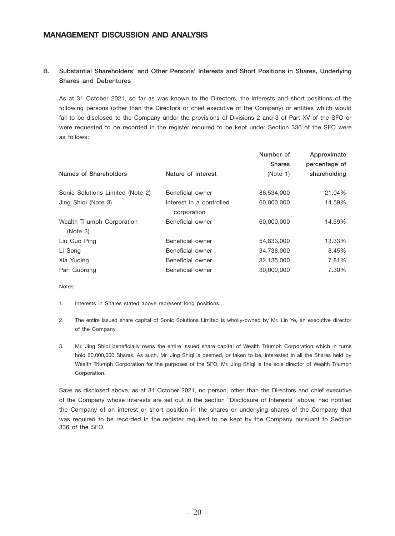# B. Substantial Shareholders' and Other Persons' Interests and Short Positions in Shares, Underlying Shares and Debentures

As at 31 October 2021, so far as was known to the Directors, the interests and short positions of the following persons (other than the Directors or chief executive of the Company) or entities which would fall to be disclosed to the Company under the provisions of Divisions 2 and 3 of Part XV of the SFO or were requested to be recorded in the register required to be kept under Section 336 of the SFO were as follows:

|                          | Number of<br><b>Shares</b> | Approximate<br>percentage of<br>shareholding |
|--------------------------|----------------------------|----------------------------------------------|
|                          |                            |                                              |
| Beneficial owner         | 86,534,000                 | 21.04%                                       |
| Interest in a controlled | 60,000,000                 | 14.59%                                       |
| corporation              |                            |                                              |
| Beneficial owner         | 60,000,000                 | 14.59%                                       |
|                          |                            |                                              |
| Beneficial owner         | 54,833,000                 | 13.33%                                       |
| Beneficial owner         | 34,738,000                 | 8.45%                                        |
| Beneficial owner         | 32,135,000                 | 7.81%                                        |
| Beneficial owner         | 30,000,000                 | 7.30%                                        |
|                          | Nature of interest         | (Note 1)                                     |

Notes:

- 1. Interests in Shares stated above represent long positions.
- 2. The entire issued share capital of Sonic Solutions Limited is wholly-owned by Mr. Lin Ye, an executive director of the Company.
- 3. Mr. Jing Shiqi beneficially owns the entire issued share capital of Wealth Triumph Corporation which in turns hold 60,000,000 Shares. As such, Mr. Jing Shiqi is deemed, or taken to be, interested in all the Shares held by Wealth Triumph Corporation for the purposes of the SFO. Mr. Jing Shiqi is the sole director of Wealth Triumph Corporation.

Save as disclosed above, as at 31 October 2021, no person, other than the Directors and chief executive of the Company whose interests are set out in the section "Disclosure of Interests" above, had notified the Company of an interest or short position in the shares or underlying shares of the Company that was required to be recorded in the register required to be kept by the Company pursuant to Section 336 of the SFO.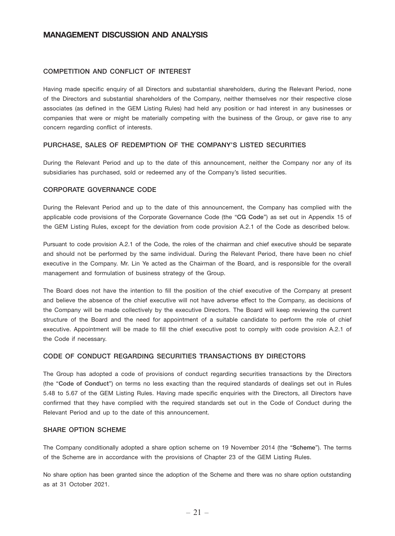### COMPETITION AND CONFLICT OF INTEREST

Having made specific enquiry of all Directors and substantial shareholders, during the Relevant Period, none of the Directors and substantial shareholders of the Company, neither themselves nor their respective close associates (as defined in the GEM Listing Rules) had held any position or had interest in any businesses or companies that were or might be materially competing with the business of the Group, or gave rise to any concern regarding conflict of interests.

### PURCHASE, SALES OF REDEMPTION OF THE COMPANY'S LISTED SECURITIES

During the Relevant Period and up to the date of this announcement, neither the Company nor any of its subsidiaries has purchased, sold or redeemed any of the Company's listed securities.

#### CORPORATE GOVERNANCE CODE

During the Relevant Period and up to the date of this announcement, the Company has complied with the applicable code provisions of the Corporate Governance Code (the "CG Code") as set out in Appendix 15 of the GEM Listing Rules, except for the deviation from code provision A.2.1 of the Code as described below.

Pursuant to code provision A.2.1 of the Code, the roles of the chairman and chief executive should be separate and should not be performed by the same individual. During the Relevant Period, there have been no chief executive in the Company. Mr. Lin Ye acted as the Chairman of the Board, and is responsible for the overall management and formulation of business strategy of the Group.

The Board does not have the intention to fill the position of the chief executive of the Company at present and believe the absence of the chief executive will not have adverse effect to the Company, as decisions of the Company will be made collectively by the executive Directors. The Board will keep reviewing the current structure of the Board and the need for appointment of a suitable candidate to perform the role of chief executive. Appointment will be made to fill the chief executive post to comply with code provision A.2.1 of the Code if necessary.

### CODE OF CONDUCT REGARDING SECURITIES TRANSACTIONS BY DIRECTORS

The Group has adopted a code of provisions of conduct regarding securities transactions by the Directors (the "Code of Conduct") on terms no less exacting than the required standards of dealings set out in Rules 5.48 to 5.67 of the GEM Listing Rules. Having made specific enquiries with the Directors, all Directors have confirmed that they have complied with the required standards set out in the Code of Conduct during the Relevant Period and up to the date of this announcement.

### SHARE OPTION SCHEME

The Company conditionally adopted a share option scheme on 19 November 2014 (the "Scheme"). The terms of the Scheme are in accordance with the provisions of Chapter 23 of the GEM Listing Rules.

No share option has been granted since the adoption of the Scheme and there was no share option outstanding as at 31 October 2021.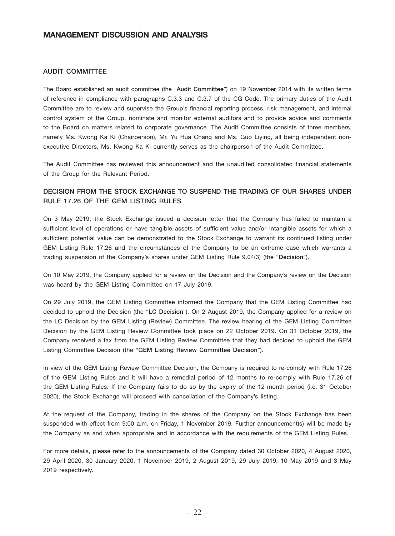### AUDIT COMMITTEE

The Board established an audit committee (the "Audit Committee") on 19 November 2014 with its written terms of reference in compliance with paragraphs C.3.3 and C.3.7 of the CG Code. The primary duties of the Audit Committee are to review and supervise the Group's financial reporting process, risk management, and internal control system of the Group, nominate and monitor external auditors and to provide advice and comments to the Board on matters related to corporate governance. The Audit Committee consists of three members, namely Ms. Kwong Ka Ki (Chairperson), Mr. Yu Hua Chang and Ms. Guo Liying, all being independent nonexecutive Directors, Ms. Kwong Ka Ki currently serves as the chairperson of the Audit Committee.

The Audit Committee has reviewed this announcement and the unaudited consolidated financial statements of the Group for the Relevant Period.

# DECISION FROM THE STOCK EXCHANGE TO SUSPEND THE TRADING OF OUR SHARES UNDER RULE 17.26 OF THE GEM LISTING RULES

On 3 May 2019, the Stock Exchange issued a decision letter that the Company has failed to maintain a sufficient level of operations or have tangible assets of sufficient value and/or intangible assets for which a sufficient potential value can be demonstrated to the Stock Exchange to warrant its continued listing under GEM Listing Rule 17.26 and the circumstances of the Company to be an extreme case which warrants a trading suspension of the Company's shares under GEM Listing Rule 9.04(3) (the "Decision").

On 10 May 2019, the Company applied for a review on the Decision and the Company's review on the Decision was heard by the GEM Listing Committee on 17 July 2019.

On 29 July 2019, the GEM Listing Committee informed the Company that the GEM Listing Committee had decided to uphold the Decision (the "LC Decision"). On 2 August 2019, the Company applied for a review on the LC Decision by the GEM Listing (Review) Committee. The review hearing of the GEM Listing Committee Decision by the GEM Listing Review Committee took place on 22 October 2019. On 31 October 2019, the Company received a fax from the GEM Listing Review Committee that they had decided to uphold the GEM Listing Committee Decision (the "GEM Listing Review Committee Decision").

In view of the GEM Listing Review Committee Decision, the Company is required to re-comply with Rule 17.26 of the GEM Listing Rules and it will have a remedial period of 12 months to re-comply with Rule 17.26 of the GEM Listing Rules. If the Company fails to do so by the expiry of the 12-month period (i.e. 31 October 2020), the Stock Exchange will proceed with cancellation of the Company's listing.

At the request of the Company, trading in the shares of the Company on the Stock Exchange has been suspended with effect from 9:00 a.m. on Friday, 1 November 2019. Further announcement(s) will be made by the Company as and when appropriate and in accordance with the requirements of the GEM Listing Rules.

For more details, please refer to the announcements of the Company dated 30 October 2020, 4 August 2020, 29 April 2020, 30 January 2020, 1 November 2019, 2 August 2019, 29 July 2019, 10 May 2019 and 3 May 2019 respectively.